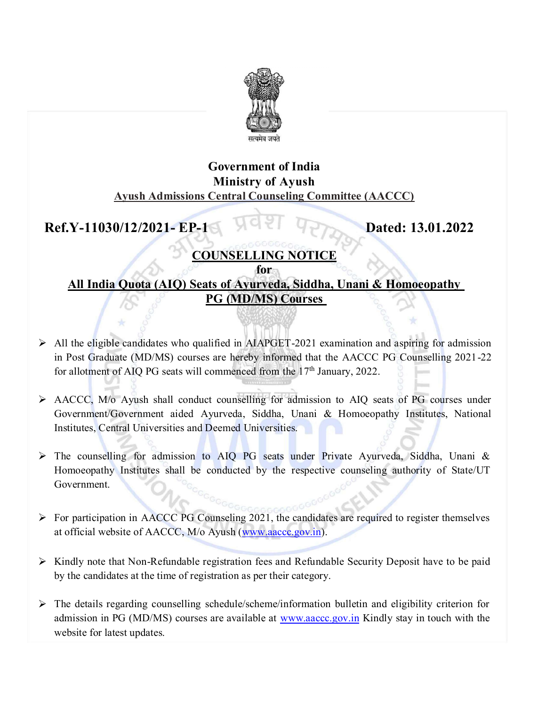

## Government of India Ministry of Ayush Ayush Admissions Central Counseling Committee (AACCC) Government of India<br>
Ministry of Ayush<br>
Ayush Admissions Central Counseling Committee (AACCC)<br>
Ref.Y-11030/12/2021- EP-1 Dated: 13.01.2022<br>
OUINSELLING NOTICE<br>
All India Quota (AIO) Seats of Ayurveda, Siddha, Unani & Homoe

## COUNSELLING NOTICE

## for All India Quota (AIQ) Seats of Ayurveda, Siddha, Unani & Homoeopathy PG (MD/MS) Courses

- $\triangleright$  All the eligible candidates who qualified in AIAPGET-2021 examination and aspiring for admission in Post Graduate (MD/MS) courses are hereby informed that the AACCC PG Counselling 2021-22 for allotment of AIQ PG seats will commenced from the  $17<sup>th</sup>$  January, 2022.
- AACCC, M/o Ayush shall conduct counselling for admission to AIQ seats of PG courses under Government/Government aided Ayurveda, Siddha, Unani & Homoeopathy Institutes, National Institutes, Central Universities and Deemed Universities.
- The counselling for admission to AIQ PG seats under Private Ayurveda, Siddha, Unani & Homoeopathy Institutes shall be conducted by the respective counseling authority of State/UT Government.
- $\triangleright$  For participation in AACCC PG Counseling 2021, the candidates are required to register themselves at official website of AACCC, M/o Ayush (www.aaccc.gov.in).
- $\triangleright$  Kindly note that Non-Refundable registration fees and Refundable Security Deposit have to be paid by the candidates at the time of registration as per their category.
- $\triangleright$  The details regarding counselling schedule/scheme/information bulletin and eligibility criterion for admission in PG (MD/MS) courses are available at www.aaccc.gov.in Kindly stay in touch with the website for latest updates.